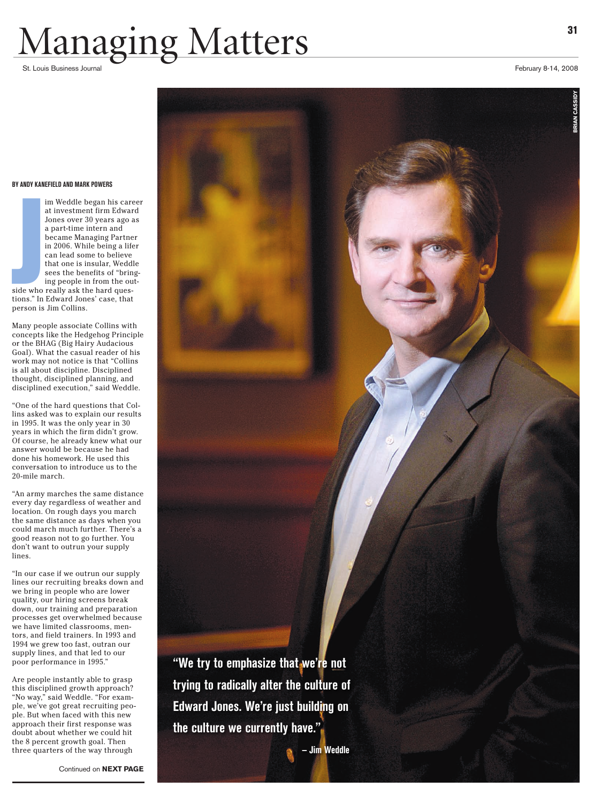# Managing Matters 31

#### **By Andy K anefield and M a r k Powers**

im Weddle began his career at investment firm Edward Jones over 30 years ago as a part-time intern and became Managing Partner in 2006. While being a lifer can lead some to believe that one is insular, Weddle sees the benefits of "bring ing people in from the out -

side who really ask the hard ques tions." In Edward Jones' case, that person is Jim Collins. side who<br>side who<br>tions." In

Many people associate Collins with concepts like the Hedgehog Principle or the BHAG (Big Hairy Audacious Goal). What the casual reader of his work may not notice is that "Collins is all about discipline. Disciplined thought, disciplined planning, and disciplined execution," said Weddle.

"One of the hard questions that Col lins asked was to explain our results in 1995. It was the only year in 30 years in which the firm didn't grow. Of course, he already knew what our answer would be because he had done his homework. He used this conversation to introduce us to the 20-mile march.

"An army marches the same distance every day regardless of weather and location. On rough days you march the same distance as days when you could march much further. There's a good reason not to go further. You don't want to outrun your supply lines.

"In our case if we outrun our supply lines our recruiting breaks down and we bring in people who are lower quality, our hiring screens break down, our training and preparation processes get overwhelmed because we have limited classrooms, men tors, and field trainers. In 1993 and 1994 we grew too fast, outran our supply lines, and that led to our poor performance in 1995."

Are people instantly able to grasp this disciplined growth approach? "No way," said Weddle. "For exam ple, we've got great recruiting peo ple. But when faced with this new approach their first response was doubt about whether we could hit the 8 percent growth goal. Then three quarters of the way through



**BRIAN CASSIDY**